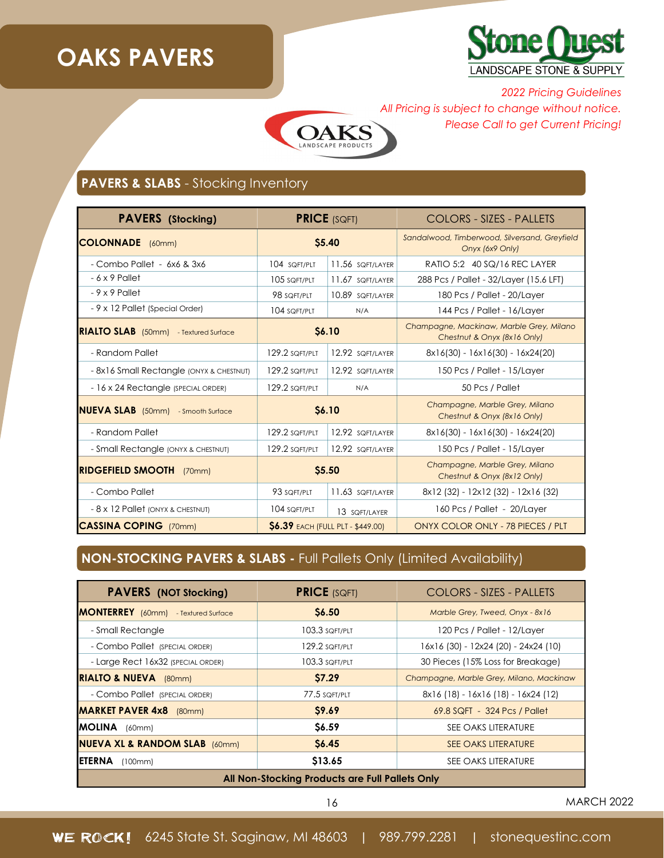## **OAKS PAVERS**



*2022 Pricing Guidelines All Pricing is subject to change without notice. Please Call to get Current Pricing!*



### **PAVERS & SLABS** - Stocking Inventory

| <b>PAVERS</b> (Stocking)                     | <b>PRICE (SQFT)</b>                     |                  | COLORS - SIZES - PALLETS                                                |
|----------------------------------------------|-----------------------------------------|------------------|-------------------------------------------------------------------------|
| <b>COLONNADE</b> (60mm)                      | \$5.40                                  |                  | Sandalwood, Timberwood, Silversand, Greyfield<br>Onyx (6x9 Only)        |
| - Combo Pallet - 6x6 & 3x6                   | 104 SQFT/PLT                            | 11.56 SQFT/LAYER | RATIO 5:2 40 SQ/16 REC LAYER                                            |
| $-6 \times 9$ Pallet                         | 105 SQFT/PLT                            | 11.67 SQFT/LAYER | 288 Pcs / Pallet - 32/Layer (15.6 LFT)                                  |
| $-9x9$ Pallet                                | 98 SQFT/PLT                             | 10.89 SQFT/LAYER | 180 Pcs / Pallet - 20/Layer                                             |
| - 9 x 12 Pallet (Special Order)              | 104 SQFT/PLT                            | N/A              | 144 Pcs / Pallet - 16/Layer                                             |
| <b>RIALTO SLAB</b> (50mm) - Textured Surface | \$6.10                                  |                  | Champagne, Mackinaw, Marble Grey, Milano<br>Chestnut & Onyx (8x16 Only) |
| - Random Pallet                              | 129.2 SQFT/PLT                          | 12.92 SQFT/LAYER | $8x16(30) - 16x16(30) - 16x24(20)$                                      |
| - 8x16 Small Rectangle (ONYX & CHESTNUT)     | 129.2 SQFT/PLT                          | 12.92 SQFT/LAYER | 150 Pcs / Pallet - 15/Layer                                             |
| - 16 x 24 Rectangle (SPECIAL ORDER)          | 129.2 SQFT/PLT                          | N/A              | 50 Pcs / Pallet                                                         |
| <b>NUEVA SLAB</b> (50mm) - Smooth Surface    | \$6.10                                  |                  | Champagne, Marble Grey, Milano<br>Chestnut & Onyx (8x16 Only)           |
| - Random Pallet                              | 129.2 SQFT/PLT                          | 12.92 SQFT/LAYER | $8x16(30) - 16x16(30) - 16x24(20)$                                      |
| - Small Rectangle (ONYX & CHESTNUT)          | 129.2 SQFT/PLT                          | 12.92 SQFT/LAYER | 150 Pcs / Pallet - 15/Layer                                             |
| <b>RIDGEFIELD SMOOTH</b><br>(70mm)           | \$5.50                                  |                  | Champagne, Marble Grey, Milano<br>Chestnut & Onyx (8x12 Only)           |
| - Combo Pallet                               | 93 SQFT/PLT                             | 11.63 SQFT/LAYER | 8x12 (32) - 12x12 (32) - 12x16 (32)                                     |
| - 8 x 12 Pallet (ONYX & CHESTNUT)            | 104 SQFT/PLT                            | 13 SQFT/LAYER    | 160 Pcs / Pallet - 20/Layer                                             |
| <b>ICASSINA COPING</b> (70mm)                | <b>S6.39 EACH (FULL PLT - \$449.00)</b> |                  | ONYX COLOR ONLY - 78 PIECES / PLT                                       |

### **NON-STOCKING PAVERS & SLABS -** Full Pallets Only (Limited Availability)

| <b>PAVERS</b> (NOT Stocking)                    | <b>PRICE (SQFT)</b> | <b>COLORS - SIZES - PALLETS</b>          |  |  |
|-------------------------------------------------|---------------------|------------------------------------------|--|--|
| <b>MONTERREY</b> (60mm) - Textured Surface      | <b>S6.50</b>        | Marble Grey, Tweed, Onyx - 8x16          |  |  |
| - Small Rectangle                               | 103.3 SQFT/PLT      | 120 Pcs / Pallet - 12/Layer              |  |  |
| - Combo Pallet (SPECIAL ORDER)                  | 129.2 SQFT/PLT      | 16x16 (30) - 12x24 (20) - 24x24 (10)     |  |  |
| - Large Rect 16x32 (SPECIAL ORDER)              | 103.3 SQFT/PLT      | 30 Pieces (15% Loss for Breakage)        |  |  |
| <b>RIALTO &amp; NUEVA</b> (80mm)                | <b>S7.29</b>        | Champagne, Marble Grey, Milano, Mackinaw |  |  |
| - Combo Pallet (SPECIAL ORDER)                  | 77.5 SQFT/PLT       | 8x16 (18) - 16x16 (18) - 16x24 (12)      |  |  |
| <b>MARKET PAVER 4x8</b> (80mm)                  | \$9.69              | 69.8 SQFT - 324 Pcs / Pallet             |  |  |
| <b>IMOLINA</b><br>(60mm)                        | \$6.59              | SEE OAKS LITERATURE                      |  |  |
| <b>NUEVA XL &amp; RANDOM SLAB</b> (60mm)        | <b>S6.45</b>        | <b>SEE OAKS LITERATURE</b>               |  |  |
| IETERNA<br>(100mm)                              | \$13.65             | SEE OAKS LITERATURE                      |  |  |
| All Non-Stocking Products are Full Pallets Only |                     |                                          |  |  |

16 MARCH 2022